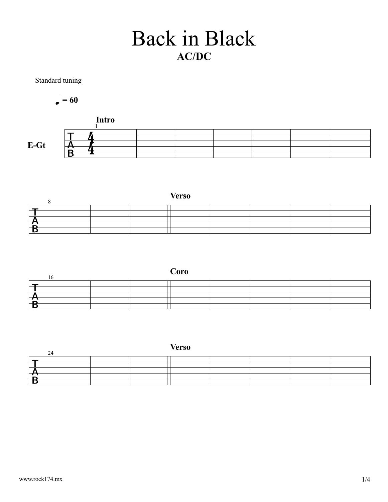## Back in Black AC/DC

Standard tuning

$$
\bullet = 60
$$





|          |  | Coro |  |  |
|----------|--|------|--|--|
|          |  |      |  |  |
|          |  |      |  |  |
|          |  |      |  |  |
| $\Gamma$ |  |      |  |  |
|          |  |      |  |  |

| $\sim$  |  | <b>Verso</b> |  |  |
|---------|--|--------------|--|--|
|         |  |              |  |  |
|         |  |              |  |  |
|         |  |              |  |  |
| →<br>⊢₽ |  |              |  |  |
|         |  |              |  |  |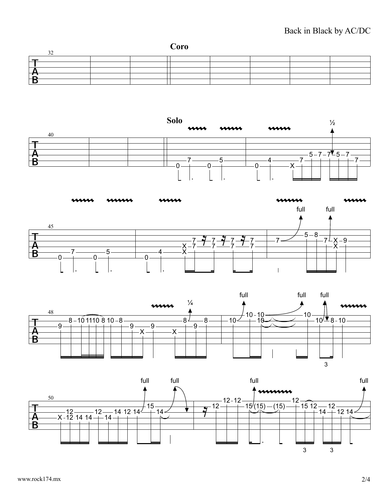## Back in Black by AC/DC









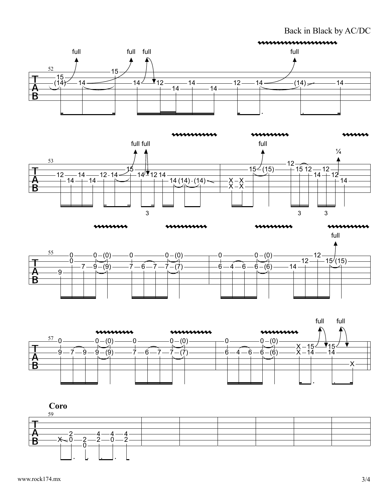Back in Black by AC/DC







 $0 \longrightarrow 0 - (0) \longrightarrow 0$ 

 $\begin{array}{ccc} 0 & \longrightarrow & \searrow' \end{array}$  $7 - 9 - (9)$  7

 $\frac{55}{2}$  0 — 0

 $\mathsf B$ 

 $9 - + + - -$ 



(7)